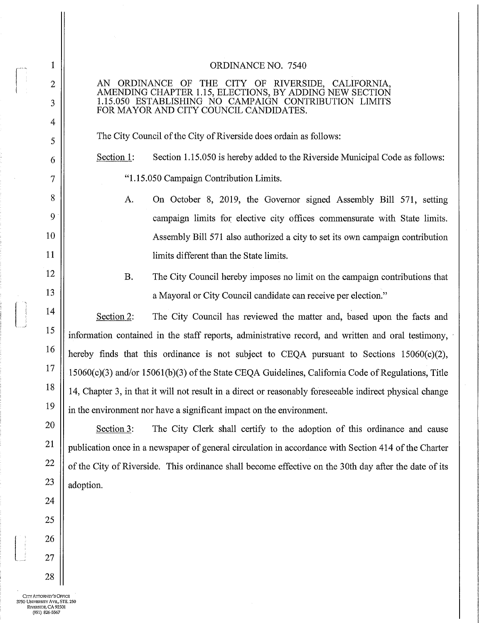## ORDINANCE NO. 7540

AN ORDINANCE OF THE CITY OF RIVERSIDE, CALIFORNIA, AMENDING CHAPTER 1. 15, ELECTIONS, BY ADDING NEW SECTION 1. 15. 050 ESTABLISHING NO CAMPAIGN CONTRIBUTION LIMITS FOR MAYOR AND CITY COUNCIL CANDIDATES.

The City Council of the City of Riverside does ordain as follows:

Section 1: Section 1.15.050 is hereby added to the Riverside Municipal Code as follows: 1. 15. 050 Campaign Contribution Limits.

- A. On October 8, 2019, the Governor signed Assembly Bill 571, setting campaign limits for elective city offices commensurate with State limits. Assembly Bill 571 also authorized a city to set its own campaign contribution limits different than the State limits.
- B. The City Council hereby imposes no limit on the campaign contributions that a Mayoral or City Council candidate can receive per election."

Section 2: The City Council has reviewed the matter and, based upon the facts and information contained in the staff reports, administrative record, and written and oral testimony, hereby finds that this ordinance is not subject to CEQA pursuant to Sections  $15060(c)(2)$ , 15060(c)(3) and/or 15061(b)(3) of the State CEQA Guidelines, California Code of Regulations, Title 14, Chapter 3, in that it will not result in <sup>a</sup> direct or reasonably foreseeable indirect physical change in the environment nor have a significant impact on the environment.

Section 3: The City Clerk shall certify to the adoption of this ordinance and cause publication once in a newspaper of general circulation in accordance with Section 414 of the Charter of the City of Riverside. This ordinance shall become effective on the 30th day after the date of its adoption.

CITY ATTORNEY'S OFFICE 3750 UNIVERSITY AVE., STE, 250 RIVERsIDE, CA 92501 (951) 826-5567

1

2

3

4

5

6

7

8

9

10

11

12

13

14

15

16

17

18

19

20

21

22

23

24

25

26

27

28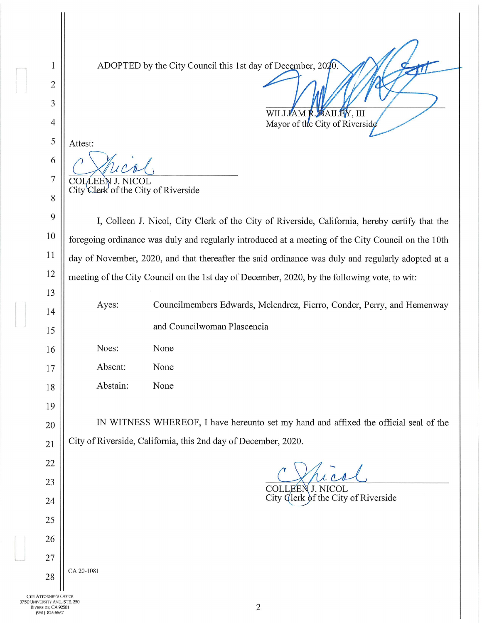ADOPTED by the City Council this 1st day of December, 2020.

Attest: COLLEEN J. NICOL

 $\mathbf{1}$ 

 $\overline{2}$ 

3

 $\overline{4}$ 

5

6

 $\overline{7}$ 

8

9

10

11

12

13

14

15

16

17

18

19

20

21

22

23

24

25

26

27

28

CA 20-1081

City Clerk of the City of Riverside

I, Colleen J. Nicol, City Clerk of the City of Riverside, California, hereby certify that the foregoing ordinance was duly and regularly introduced at a meeting of the City Council on the 10th day of November, 2020, and that thereafter the said ordinance was duly and regularly adopted at a meeting of the City Council on the 1st day of December, 2020, by the following vote, to wit:

Ayes: Councilmembers Edwards, Melendrez, Fierro, Conder, Perry, and Hemenway and Councilwoman Plascencia

WILLIAM

Noes: None Absent: None Abstain: None

IN WITNESS WHEREOF, I have hereunto set my hand and affixed the official seal of the City of Riverside, California, this 2nd day of December, 2020.

COLLEEN J. NICOL City Clerk of the City of Riverside

**BAILEY, III** 

Mayor of the City of Riverside